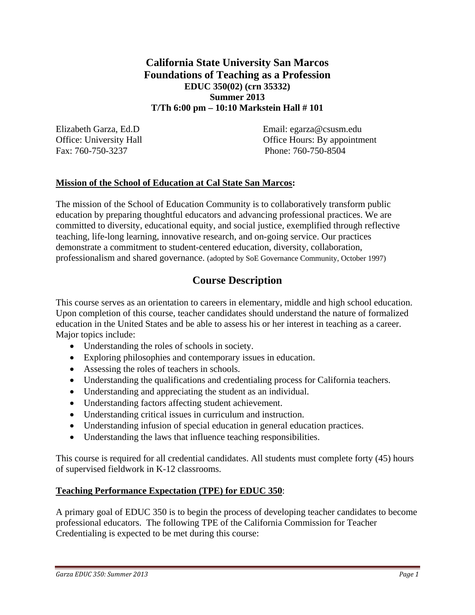## **California State University San Marcos Foundations of Teaching as a Profession EDUC 350(02) (crn 35332) Summer 2013 T/Th 6:00 pm – 10:10 Markstein Hall # 101**

Fax: 760-750-3237 Phone: 760-750-8504

Elizabeth Garza, Ed.D Email: egarza@csusm.edu Office: University Hall **Office Hours: By appointment** 

## **Mission of the School of Education at Cal State San Marcos:**

The mission of the School of Education Community is to collaboratively transform public education by preparing thoughtful educators and advancing professional practices. We are committed to diversity, educational equity, and social justice, exemplified through reflective teaching, life-long learning, innovative research, and on-going service. Our practices demonstrate a commitment to student-centered education, diversity, collaboration, professionalism and shared governance. (adopted by SoE Governance Community, October 1997)

# **Course Description**

This course serves as an orientation to careers in elementary, middle and high school education. Upon completion of this course, teacher candidates should understand the nature of formalized education in the United States and be able to assess his or her interest in teaching as a career. Major topics include:

- Understanding the roles of schools in society.
- Exploring philosophies and contemporary issues in education.
- Assessing the roles of teachers in schools.
- Understanding the qualifications and credentialing process for California teachers.
- Understanding and appreciating the student as an individual.
- Understanding factors affecting student achievement.
- Understanding critical issues in curriculum and instruction.
- Understanding infusion of special education in general education practices.
- Understanding the laws that influence teaching responsibilities.

This course is required for all credential candidates. All students must complete forty (45) hours of supervised fieldwork in K-12 classrooms.

### **Teaching Performance Expectation (TPE) for EDUC 350**:

A primary goal of EDUC 350 is to begin the process of developing teacher candidates to become professional educators. The following TPE of the California Commission for Teacher Credentialing is expected to be met during this course: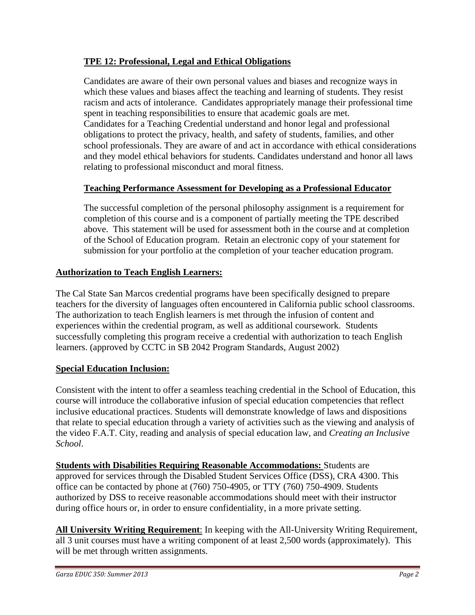## **TPE 12: Professional, Legal and Ethical Obligations**

Candidates are aware of their own personal values and biases and recognize ways in which these values and biases affect the teaching and learning of students. They resist racism and acts of intolerance. Candidates appropriately manage their professional time spent in teaching responsibilities to ensure that academic goals are met. Candidates for a Teaching Credential understand and honor legal and professional obligations to protect the privacy, health, and safety of students, families, and other school professionals. They are aware of and act in accordance with ethical considerations and they model ethical behaviors for students. Candidates understand and honor all laws relating to professional misconduct and moral fitness.

## **Teaching Performance Assessment for Developing as a Professional Educator**

The successful completion of the personal philosophy assignment is a requirement for completion of this course and is a component of partially meeting the TPE described above. This statement will be used for assessment both in the course and at completion of the School of Education program. Retain an electronic copy of your statement for submission for your portfolio at the completion of your teacher education program.

## **Authorization to Teach English Learners:**

The Cal State San Marcos credential programs have been specifically designed to prepare teachers for the diversity of languages often encountered in California public school classrooms. The authorization to teach English learners is met through the infusion of content and experiences within the credential program, as well as additional coursework. Students successfully completing this program receive a credential with authorization to teach English learners. (approved by CCTC in SB 2042 Program Standards, August 2002)

### **Special Education Inclusion:**

Consistent with the intent to offer a seamless teaching credential in the School of Education, this course will introduce the collaborative infusion of special education competencies that reflect inclusive educational practices. Students will demonstrate knowledge of laws and dispositions that relate to special education through a variety of activities such as the viewing and analysis of the video F.A.T. City, reading and analysis of special education law, and *Creating an Inclusive School*.

**Students with Disabilities Requiring Reasonable Accommodations:** Students are approved for services through the Disabled Student Services Office (DSS), CRA 4300. This office can be contacted by phone at (760) 750-4905, or TTY (760) 750-4909. Students authorized by DSS to receive reasonable accommodations should meet with their instructor during office hours or, in order to ensure confidentiality, in a more private setting.

**All University Writing Requirement**: In keeping with the All-University Writing Requirement, all 3 unit courses must have a writing component of at least 2,500 words (approximately). This will be met through written assignments.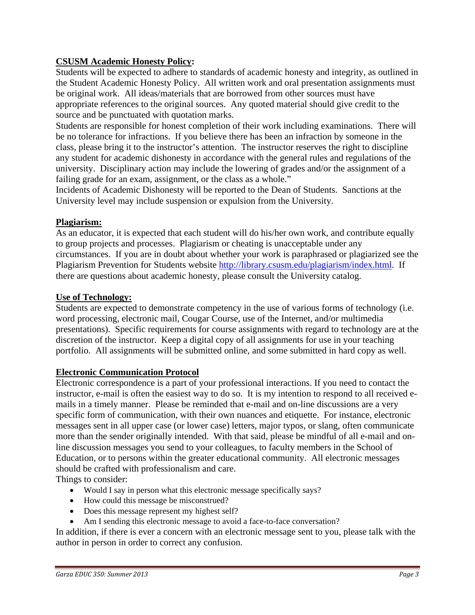## **CSUSM Academic Honesty Policy:**

Students will be expected to adhere to standards of academic honesty and integrity, as outlined in the Student Academic Honesty Policy. All written work and oral presentation assignments must be original work. All ideas/materials that are borrowed from other sources must have appropriate references to the original sources. Any quoted material should give credit to the source and be punctuated with quotation marks.

Students are responsible for honest completion of their work including examinations. There will be no tolerance for infractions. If you believe there has been an infraction by someone in the class, please bring it to the instructor's attention. The instructor reserves the right to discipline any student for academic dishonesty in accordance with the general rules and regulations of the university. Disciplinary action may include the lowering of grades and/or the assignment of a failing grade for an exam, assignment, or the class as a whole."

Incidents of Academic Dishonesty will be reported to the Dean of Students. Sanctions at the University level may include suspension or expulsion from the University.

#### **Plagiarism:**

As an educator, it is expected that each student will do his/her own work, and contribute equally to group projects and processes. Plagiarism or cheating is unacceptable under any circumstances. If you are in doubt about whether your work is paraphrased or plagiarized see the Plagiarism Prevention for Students website http://library.csusm.edu/plagiarism/index.html. If there are questions about academic honesty, please consult the University catalog.

#### **Use of Technology:**

Students are expected to demonstrate competency in the use of various forms of technology (i.e. word processing, electronic mail, Cougar Course, use of the Internet, and/or multimedia presentations). Specific requirements for course assignments with regard to technology are at the discretion of the instructor. Keep a digital copy of all assignments for use in your teaching portfolio. All assignments will be submitted online, and some submitted in hard copy as well.

### **Electronic Communication Protocol**

Electronic correspondence is a part of your professional interactions. If you need to contact the instructor, e-mail is often the easiest way to do so. It is my intention to respond to all received emails in a timely manner. Please be reminded that e-mail and on-line discussions are a very specific form of communication, with their own nuances and etiquette. For instance, electronic messages sent in all upper case (or lower case) letters, major typos, or slang, often communicate more than the sender originally intended. With that said, please be mindful of all e-mail and online discussion messages you send to your colleagues, to faculty members in the School of Education, or to persons within the greater educational community. All electronic messages should be crafted with professionalism and care.

Things to consider:

- Would I say in person what this electronic message specifically says?
- How could this message be misconstrued?
- Does this message represent my highest self?
- Am I sending this electronic message to avoid a face-to-face conversation?

In addition, if there is ever a concern with an electronic message sent to you, please talk with the author in person in order to correct any confusion.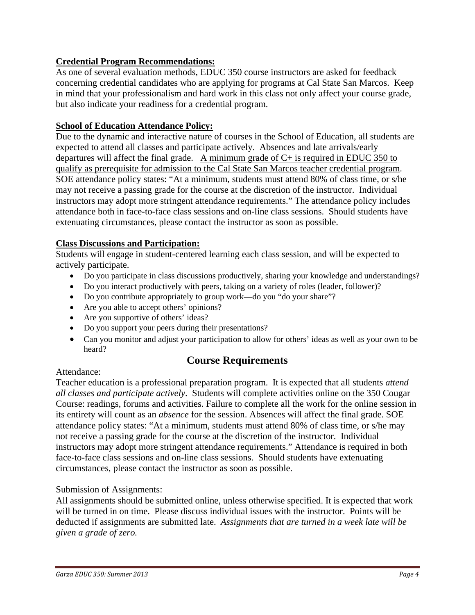## **Credential Program Recommendations:**

As one of several evaluation methods, EDUC 350 course instructors are asked for feedback concerning credential candidates who are applying for programs at Cal State San Marcos. Keep in mind that your professionalism and hard work in this class not only affect your course grade, but also indicate your readiness for a credential program.

### **School of Education Attendance Policy:**

Due to the dynamic and interactive nature of courses in the School of Education, all students are expected to attend all classes and participate actively. Absences and late arrivals/early departures will affect the final grade. A minimum grade of  $C<sub>+</sub>$  is required in EDUC 350 to qualify as prerequisite for admission to the Cal State San Marcos teacher credential program. SOE attendance policy states: "At a minimum, students must attend 80% of class time, or s/he may not receive a passing grade for the course at the discretion of the instructor. Individual instructors may adopt more stringent attendance requirements." The attendance policy includes attendance both in face-to-face class sessions and on-line class sessions. Should students have extenuating circumstances, please contact the instructor as soon as possible.

### **Class Discussions and Participation:**

Students will engage in student-centered learning each class session, and will be expected to actively participate.

- Do you participate in class discussions productively, sharing your knowledge and understandings?
- Do you interact productively with peers, taking on a variety of roles (leader, follower)?
- Do you contribute appropriately to group work—do you "do your share"?
- Are you able to accept others' opinions?
- Are you supportive of others' ideas?
- Do you support your peers during their presentations?
- Can you monitor and adjust your participation to allow for others' ideas as well as your own to be heard?

## **Course Requirements**

#### Attendance:

Teacher education is a professional preparation program. It is expected that all students *attend all classes and participate actively*. Students will complete activities online on the 350 Cougar Course: readings, forums and activities. Failure to complete all the work for the online session in its entirety will count as an *absence* for the session. Absences will affect the final grade. SOE attendance policy states: "At a minimum, students must attend 80% of class time, or s/he may not receive a passing grade for the course at the discretion of the instructor. Individual instructors may adopt more stringent attendance requirements." Attendance is required in both face-to-face class sessions and on-line class sessions. Should students have extenuating circumstances, please contact the instructor as soon as possible.

### Submission of Assignments:

All assignments should be submitted online, unless otherwise specified. It is expected that work will be turned in on time. Please discuss individual issues with the instructor. Points will be deducted if assignments are submitted late. *Assignments that are turned in a week late will be given a grade of zero.*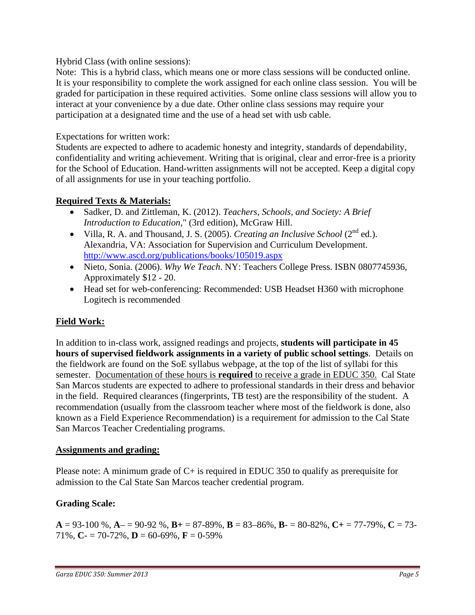Hybrid Class (with online sessions):

Note: This is a hybrid class, which means one or more class sessions will be conducted online. It is your responsibility to complete the work assigned for each online class session. You will be graded for participation in these required activities. Some online class sessions will allow you to interact at your convenience by a due date. Other online class sessions may require your participation at a designated time and the use of a head set with usb cable.

## Expectations for written work:

Students are expected to adhere to academic honesty and integrity, standards of dependability, confidentiality and writing achievement. Writing that is original, clear and error-free is a priority for the School of Education. Hand-written assignments will not be accepted. Keep a digital copy of all assignments for use in your teaching portfolio.

## **Required Texts & Materials:**

- Sadker, D. and Zittleman, K. (2012). *Teachers, Schools, and Society: A Brief Introduction to Education,*" (3rd edition), McGraw Hill.
- Villa, R. A. and Thousand, J. S. (2005). *Creating an Inclusive School* (2<sup>nd</sup> ed.). Alexandria, VA: Association for Supervision and Curriculum Development. http://www.ascd.org/publications/books/105019.aspx
- Nieto, Sonia. (2006). *Why We Teach*. NY: Teachers College Press. ISBN 0807745936, Approximately \$12 - 20.
- Head set for web-conferencing: Recommended: USB Headset H360 with microphone Logitech is recommended

## **Field Work:**

In addition to in-class work, assigned readings and projects, **students will participate in 45 hours of supervised fieldwork assignments in a variety of public school settings**. Details on the fieldwork are found on the SoE syllabus webpage, at the top of the list of syllabi for this semester. Documentation of these hours is **required** to receive a grade in EDUC 350. Cal State San Marcos students are expected to adhere to professional standards in their dress and behavior in the field. Required clearances (fingerprints, TB test) are the responsibility of the student. A recommendation (usually from the classroom teacher where most of the fieldwork is done, also known as a Field Experience Recommendation) is a requirement for admission to the Cal State San Marcos Teacher Credentialing programs.

## **Assignments and grading:**

 admission to the Cal State San Marcos teacher credential program. Please note: A minimum grade of C+ is required in EDUC 350 to qualify as prerequisite for

## **Grading Scale:**

 $A = 93-100$  %,  $A = 90-92$  %,  $B = 87-89$ %,  $B = 83-86$ %,  $B = 80-82$ %,  $C = 77-79$ %,  $C = 73-$ 71%,  $C = 70 - 72$ %,  $D = 60 - 69$ %,  $F = 0 - 59$ %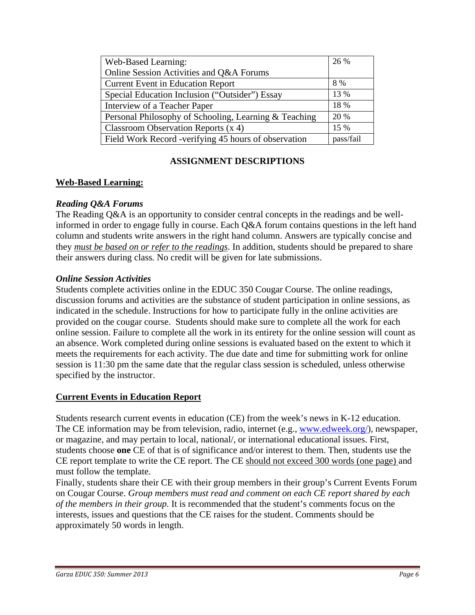| Web-Based Learning:                                   | 26 %      |
|-------------------------------------------------------|-----------|
| Online Session Activities and Q&A Forums              |           |
| <b>Current Event in Education Report</b>              | 8 %       |
| Special Education Inclusion ("Outsider") Essay        | 13 %      |
| Interview of a Teacher Paper                          | 18 %      |
| Personal Philosophy of Schooling, Learning & Teaching | 20 %      |
| Classroom Observation Reports $(x 4)$                 | 15 %      |
| Field Work Record -verifying 45 hours of observation  | pass/fail |

## **ASSIGNMENT DESCRIPTIONS**

### **Web-Based Learning:**

### *Reading Q&A Forums*

The Reading Q&A is an opportunity to consider central concepts in the readings and be wellinformed in order to engage fully in course. Each Q&A forum contains questions in the left hand column and students write answers in the right hand column. Answers are typically concise and they *must be based on or refer to the readings*. In addition, students should be prepared to share their answers during class*.* No credit will be given for late submissions.

### *Online Session Activities*

Students complete activities online in the EDUC 350 Cougar Course. The online readings, discussion forums and activities are the substance of student participation in online sessions, as indicated in the schedule. Instructions for how to participate fully in the online activities are provided on the cougar course. Students should make sure to complete all the work for each online session. Failure to complete all the work in its entirety for the online session will count as an absence. Work completed during online sessions is evaluated based on the extent to which it meets the requirements for each activity. The due date and time for submitting work for online session is 11:30 pm the same date that the regular class session is scheduled, unless otherwise specified by the instructor.

## **Current Events in Education Report**

Students research current events in education (CE) from the week's news in K-12 education. The CE information may be from television, radio, internet (e.g., www.edweek.org/), newspaper, or magazine, and may pertain to local, national/, or international educational issues. First, students choose **one** CE of that is of significance and/or interest to them. Then, students use the CE report template to write the CE report. The CE should not exceed 300 words (one page) and must follow the template.

Finally, students share their CE with their group members in their group's Current Events Forum on Cougar Course. *Group members must read and comment on each CE report shared by each of the members in their group.* It is recommended that the student's comments focus on the interests, issues and questions that the CE raises for the student. Comments should be approximately 50 words in length.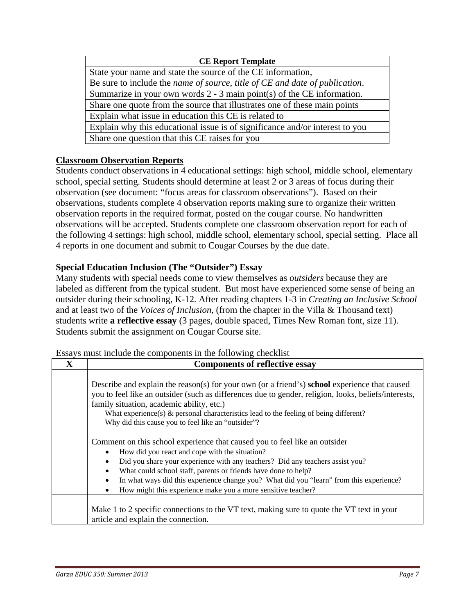| <b>CE Report Template</b>                                                                   |  |  |
|---------------------------------------------------------------------------------------------|--|--|
| State your name and state the source of the CE information,                                 |  |  |
| Be sure to include the <i>name of source</i> , <i>title of CE and date of publication</i> . |  |  |
| Summarize in your own words $2 - 3$ main point(s) of the CE information.                    |  |  |
| Share one quote from the source that illustrates one of these main points                   |  |  |
| Explain what issue in education this CE is related to                                       |  |  |
| Explain why this educational issue is of significance and/or interest to you                |  |  |
| Share one question that this CE raises for you                                              |  |  |

## **Classroom Observation Reports**

Students conduct observations in 4 educational settings: high school, middle school, elementary school, special setting. Students should determine at least 2 or 3 areas of focus during their observation (see document: "focus areas for classroom observations"). Based on their observations, students complete 4 observation reports making sure to organize their written observation reports in the required format, posted on the cougar course. No handwritten observations will be accepted. Students complete one classroom observation report for each of the following 4 settings: high school, middle school, elementary school, special setting. Place all 4 reports in one document and submit to Cougar Courses by the due date.

## **Special Education Inclusion (The "Outsider") Essay**

Many students with special needs come to view themselves as *outsiders* because they are labeled as different from the typical student. But most have experienced some sense of being an outsider during their schooling, K-12. After reading chapters 1-3 in *Creating an Inclusive School*  and at least two of the *Voices of Inclusion*, (from the chapter in the Villa & Thousand text) students write **a reflective essay** (3 pages, double spaced, Times New Roman font, size 11). Students submit the assignment on Cougar Course site.

| Essays must menute the components in the following cheeking |                                                                                                                                                                                                                                                                                                                                                                                                                                                              |  |  |  |
|-------------------------------------------------------------|--------------------------------------------------------------------------------------------------------------------------------------------------------------------------------------------------------------------------------------------------------------------------------------------------------------------------------------------------------------------------------------------------------------------------------------------------------------|--|--|--|
| X                                                           | <b>Components of reflective essay</b>                                                                                                                                                                                                                                                                                                                                                                                                                        |  |  |  |
|                                                             | Describe and explain the reason(s) for your own (or a friend's) <b>school</b> experience that caused<br>you to feel like an outsider (such as differences due to gender, religion, looks, beliefs/interests,<br>family situation, academic ability, etc.)<br>What experience(s) $\&$ personal characteristics lead to the feeling of being different?                                                                                                        |  |  |  |
|                                                             | Why did this cause you to feel like an "outsider"?                                                                                                                                                                                                                                                                                                                                                                                                           |  |  |  |
|                                                             | Comment on this school experience that caused you to feel like an outsider<br>How did you react and cope with the situation?<br>Did you share your experience with any teachers? Did any teachers assist you?<br>٠<br>What could school staff, parents or friends have done to help?<br>$\bullet$<br>In what ways did this experience change you? What did you "learn" from this experience?<br>How might this experience make you a more sensitive teacher? |  |  |  |
|                                                             | Make 1 to 2 specific connections to the VT text, making sure to quote the VT text in your<br>article and explain the connection.                                                                                                                                                                                                                                                                                                                             |  |  |  |

Essays must include the components in the following checklist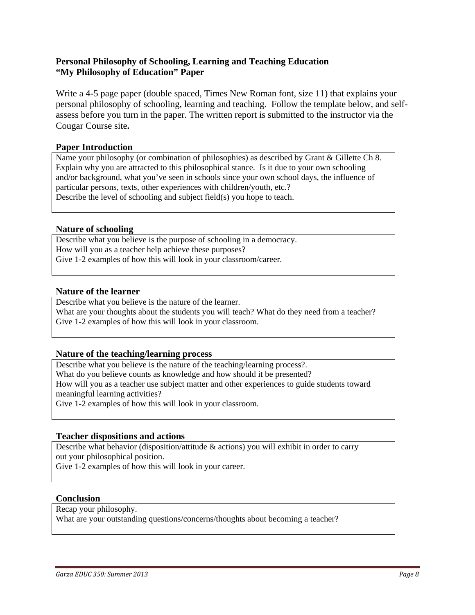#### **Personal Philosophy of Schooling, Learning and Teaching Education "My Philosophy of Education" Paper**

Write a 4-5 page paper (double spaced, Times New Roman font, size 11) that explains your personal philosophy of schooling, learning and teaching. Follow the template below, and selfassess before you turn in the paper. The written report is submitted to the instructor via the Cougar Course site**.** 

#### **Paper Introduction**

Name your philosophy (or combination of philosophies) as described by Grant & Gillette Ch 8. Explain why you are attracted to this philosophical stance. Is it due to your own schooling and/or background, what you've seen in schools since your own school days, the influence of particular persons, texts, other experiences with children/youth, etc.? Describe the level of schooling and subject field(s) you hope to teach.

#### **Nature of schooling**

Describe what you believe is the purpose of schooling in a democracy. How will you as a teacher help achieve these purposes? Give 1-2 examples of how this will look in your classroom/career.

#### **Nature of the learner**

Describe what you believe is the nature of the learner. What are your thoughts about the students you will teach? What do they need from a teacher? Give 1-2 examples of how this will look in your classroom.

#### **Nature of the teaching/learning process**

 meaningful learning activities? Describe what you believe is the nature of the teaching/learning process?. What do you believe counts as knowledge and how should it be presented? How will you as a teacher use subject matter and other experiences to guide students toward Give 1-2 examples of how this will look in your classroom.

#### **Teacher dispositions and actions**

 Describe what behavior (disposition/attitude & actions) you will exhibit in order to carry out your philosophical position.

Give 1-2 examples of how this will look in your career.

#### **Conclusion**

Recap your philosophy.

What are your outstanding questions/concerns/thoughts about becoming a teacher?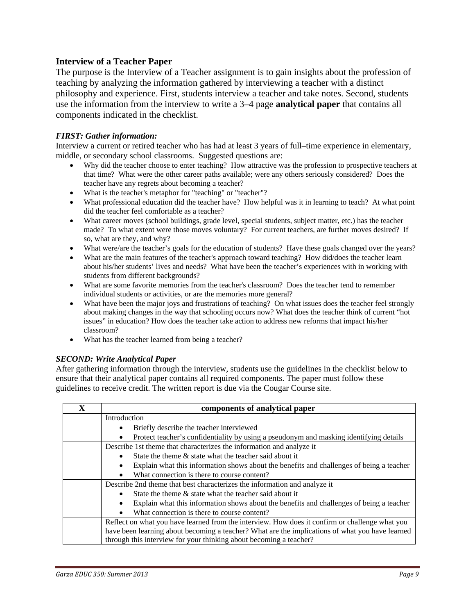#### **Interview of a Teacher Paper**

The purpose is the Interview of a Teacher assignment is to gain insights about the profession of teaching by analyzing the information gathered by interviewing a teacher with a distinct philosophy and experience. First, students interview a teacher and take notes. Second, students use the information from the interview to write a 3–4 page **analytical paper** that contains all components indicated in the checklist.

#### *FIRST: Gather information:*

Interview a current or retired teacher who has had at least 3 years of full–time experience in elementary, middle, or secondary school classrooms. Suggested questions are:

- Why did the teacher choose to enter teaching? How attractive was the profession to prospective teachers at that time? What were the other career paths available; were any others seriously considered? Does the teacher have any regrets about becoming a teacher?
- What is the teacher's metaphor for "teaching" or "teacher"?
- What professional education did the teacher have? How helpful was it in learning to teach? At what point did the teacher feel comfortable as a teacher?
- made? To what extent were those moves voluntary? For current teachers, are further moves desired? If What career moves (school buildings, grade level, special students, subject matter, etc.) has the teacher so, what are they, and why?
- What were/are the teacher's goals for the education of students? Have these goals changed over the years?
- about his/her students' lives and needs? What have been the teacher's experiences with in working with students from different backgrounds? What are the main features of the teacher's approach toward teaching? How did/does the teacher learn
- individual students or activities, or are the memories more general? What are some favorite memories from the teacher's classroom? Does the teacher tend to remember
- What have been the major joys and frustrations of teaching? On what issues does the teacher feel strongly about making changes in the way that schooling occurs now? What does the teacher think of current "hot issues" in education? How does the teacher take action to address new reforms that impact his/her classroom?
- What has the teacher learned from being a teacher?

#### *SECOND: Write Analytical Paper*

After gathering information through the interview, students use the guidelines in the checklist below to ensure that their analytical paper contains all required components. The paper must follow these guidelines to receive credit. The written report is due via the Cougar Course site.

| X | components of analytical paper                                                                  |  |  |
|---|-------------------------------------------------------------------------------------------------|--|--|
|   | Introduction                                                                                    |  |  |
|   | Briefly describe the teacher interviewed<br>$\bullet$                                           |  |  |
|   | Protect teacher's confidentiality by using a pseudonym and masking identifying details          |  |  |
|   | Describe 1st theme that characterizes the information and analyze it                            |  |  |
|   | State the theme & state what the teacher said about it                                          |  |  |
|   | Explain what this information shows about the benefits and challenges of being a teacher        |  |  |
|   | What connection is there to course content?<br>$\bullet$                                        |  |  |
|   | Describe 2nd theme that best characterizes the information and analyze it                       |  |  |
|   | State the theme $\&$ state what the teacher said about it<br>$\bullet$                          |  |  |
|   | Explain what this information shows about the benefits and challenges of being a teacher        |  |  |
|   | What connection is there to course content?<br>$\bullet$                                        |  |  |
|   | Reflect on what you have learned from the interview. How does it confirm or challenge what you  |  |  |
|   | have been learning about becoming a teacher? What are the implications of what you have learned |  |  |
|   | through this interview for your thinking about becoming a teacher?                              |  |  |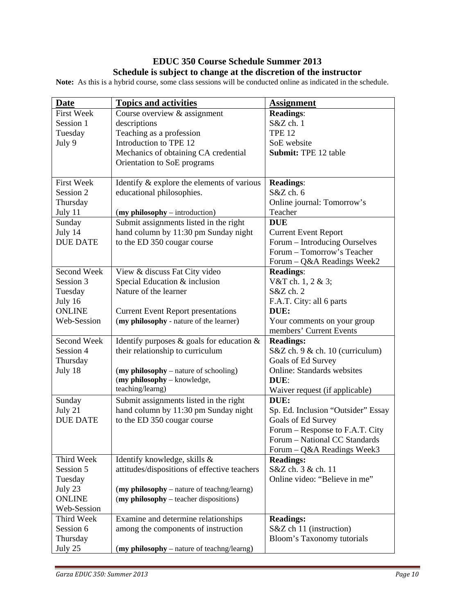### **EDUC 350 Course Schedule Summer 2013 Schedule is subject to change at the discretion of the instructor**

**Note:** As this is a hybrid course, some class sessions will be conducted online as indicated in the schedule.

| <b>Date</b>       | <b>Topics and activities</b>                    | <b>Assignment</b>                  |
|-------------------|-------------------------------------------------|------------------------------------|
| <b>First Week</b> | Course overview & assignment                    | <b>Readings:</b>                   |
| Session 1         | descriptions                                    | S&Z ch. 1                          |
| Tuesday           | Teaching as a profession                        | <b>TPE 12</b>                      |
| July 9            | Introduction to TPE 12                          | SoE website                        |
|                   | Mechanics of obtaining CA credential            | <b>Submit: TPE 12 table</b>        |
|                   | Orientation to SoE programs                     |                                    |
|                   |                                                 |                                    |
| <b>First Week</b> | Identify & explore the elements of various      | <b>Readings:</b>                   |
| Session 2         | educational philosophies.                       | S&Z ch. 6                          |
| Thursday          |                                                 | Online journal: Tomorrow's         |
| July 11           | (my philosophy – introduction)                  | Teacher                            |
| Sunday            | Submit assignments listed in the right          | <b>DUE</b>                         |
| July 14           | hand column by 11:30 pm Sunday night            | <b>Current Event Report</b>        |
| <b>DUE DATE</b>   | to the ED 350 cougar course                     | Forum - Introducing Ourselves      |
|                   |                                                 | Forum - Tomorrow's Teacher         |
|                   |                                                 | Forum - Q&A Readings Week2         |
| Second Week       | View & discuss Fat City video                   | <b>Readings:</b>                   |
| Session 3         | Special Education & inclusion                   | V&T ch. 1, 2 & 3;                  |
| Tuesday           | Nature of the learner                           | S&Z ch. 2                          |
| July 16           |                                                 | F.A.T. City: all 6 parts           |
| <b>ONLINE</b>     | <b>Current Event Report presentations</b>       | DUE:                               |
| Web-Session       | (my philosophy - nature of the learner)         | Your comments on your group        |
|                   |                                                 | members' Current Events            |
| Second Week       | Identify purposes $\&$ goals for education $\&$ | <b>Readings:</b>                   |
| Session 4         | their relationship to curriculum                | $S&Z$ ch. 9 $&ch. 10$ (curriculum) |
| Thursday          |                                                 | Goals of Ed Survey                 |
| July 18           | (my philosophy – nature of schooling)           | <b>Online: Standards websites</b>  |
|                   | (my philosophy - knowledge,                     | DUE:                               |
|                   | teaching/learng)                                | Waiver request (if applicable)     |
| Sunday            | Submit assignments listed in the right          | DUE:                               |
| July 21           | hand column by 11:30 pm Sunday night            | Sp. Ed. Inclusion "Outsider" Essay |
| <b>DUE DATE</b>   | to the ED 350 cougar course                     | Goals of Ed Survey                 |
|                   |                                                 | Forum - Response to F.A.T. City    |
|                   |                                                 | Forum - National CC Standards      |
|                   |                                                 | Forum - Q&A Readings Week3         |
| Third Week        | Identify knowledge, skills &                    | <b>Readings:</b>                   |
| Session 5         | attitudes/dispositions of effective teachers    | S&Z ch. 3 & ch. 11                 |
| Tuesday           |                                                 | Online video: "Believe in me"      |
| July 23           | (my philosophy – nature of teachng/learng)      |                                    |
| <b>ONLINE</b>     | (my philosophy – teacher dispositions)          |                                    |
| Web-Session       |                                                 |                                    |
| Third Week        | Examine and determine relationships             | <b>Readings:</b>                   |
| Session 6         | among the components of instruction             | S&Z ch 11 (instruction)            |
| Thursday          |                                                 | Bloom's Taxonomy tutorials         |
| July 25           | (my philosophy – nature of teachng/learng)      |                                    |